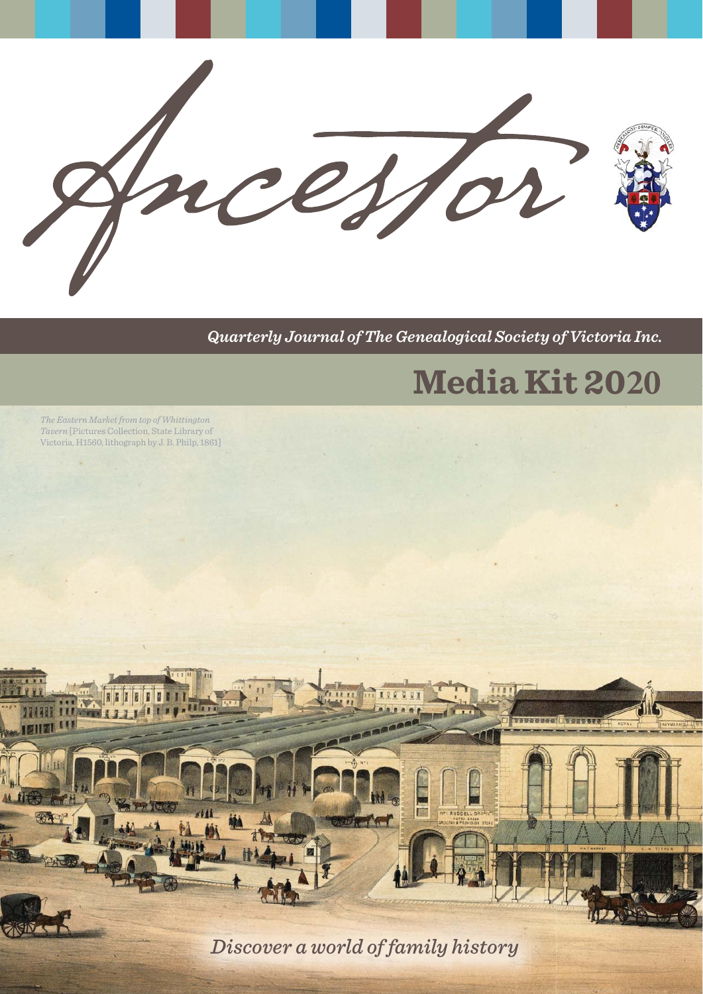

*Quarterly Journal of The Genealogical Society of Victoria Inc.*

# **Media Kit 2020**

**SUDUCER INSUES** 

*The Eastern Market from top of Whittington Tavern* [Pictures Collection, State Library of Victoria, H1560, lithograph by J. B. Philp, 1861]

*Discover a world of family history*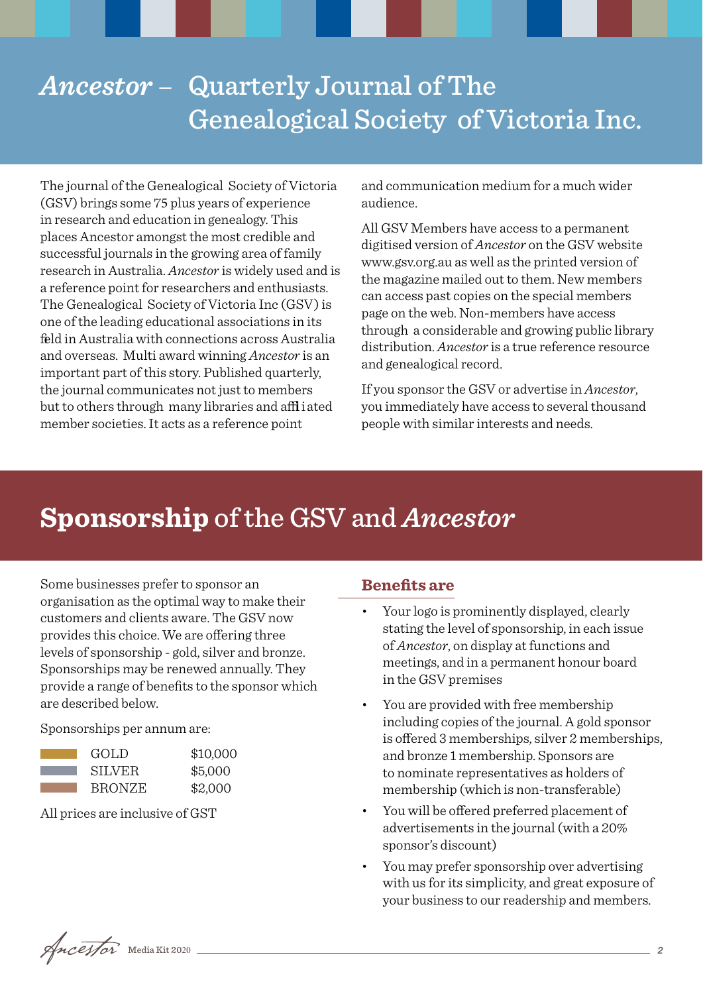## *Ancestor* – Quarterly Journal of The Genealogical Society of Victoria Inc.

The journal of the Genealogical Society of Victoria (GSV) brings some 75 plus years of experience in research and education in genealogy. This places Ancestor amongst the most credible and successful journals in the growing area of family research in Australia. *Ancestor* is widely used and is a reference point for researchers and enthusiasts. The Genealogical Society of Victoria Inc (GSV) is one of the leading educational associations in its feld in Australia with connections across Australia and overseas. Multi award winning *Ancestor* is an important part of this story. Published quarterly, the journal communicates not just to members but to others through many libraries and affliated member societies. It acts as a reference point

and communication medium for a much wider audience.

All GSV Members have access to a permanent digitised version of *Ancestor* on the GSV website www.gsv.org.au as well as the printed version of the magazine mailed out to them. New members can access past copies on the special members page on the web. Non-members have access through a considerable and growing public library distribution. *Ancestor* is a true reference resource and genealogical record.

If you sponsor the GSV or advertise in *Ancestor*, you immediately have access to several thousand people with similar interests and needs.

## **Sponsorship** of the GSV and *Ancestor*

Some businesses prefer to sponsor an organisation as the optimal way to make their customers and clients aware. The GSV now provides this choice. We are offering three levels of sponsorship - gold, silver and bronze. Sponsorships may be renewed annually. They provide a range of benefits to the sponsor which are described below.

Sponsorships per annum are:

| GOLD          | \$10,000 |
|---------------|----------|
| <b>SILVER</b> | \$5,000  |
| <b>BRONZE</b> | \$2,000  |

All prices are inclusive of GST

#### **Benefits are**

- Your logo is prominently displayed, clearly stating the level of sponsorship, in each issue of *Ancestor*, on display at functions and meetings, and in a permanent honour board in the GSV premises
- You are provided with free membership including copies of the journal. A gold sponsor is offered 3 memberships, silver 2 memberships, and bronze 1 membership. Sponsors are to nominate representatives as holders of membership (which is non-transferable)
- You will be offered preferred placement of advertisements in the journal (with a 20% sponsor's discount)
- You may prefer sponsorship over advertising with us for its simplicity, and great exposure of your business to our readership and members.

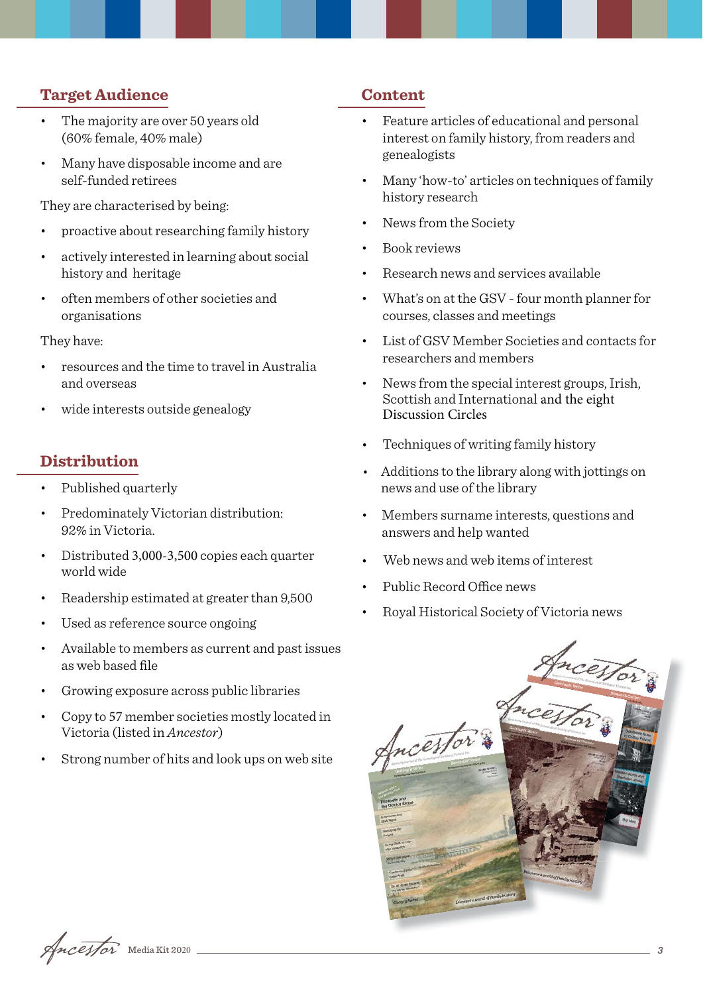#### **Target Audience**

- The majority are over 50 years old (60% female, 40% male)
- Many have disposable income and are self-funded retirees

They are characterised by being:

- proactive about researching family history
- actively interested in learning about social history and heritage
- often members of other societies and organisations

They have:

- resources and the time to travel in Australia and overseas
- wide interests outside genealogy

### **Distribution**

- Published quarterly
- Predominately Victorian distribution: 92% in Victoria.
- Distributed 3,000-3,500 copies each quarter world wide
- Readership estimated at greater than 9,500
- Used as reference source ongoing
- Available to members as current and past issues as web based file
- Growing exposure across public libraries
- Copy to 57 member societies mostly located in Victoria (listed in *Ancestor*)
- Strong number of hits and look ups on web site

#### **Content**

- Feature articles of educational and personal interest on family history, from readers and genealogists
- Many 'how-to' articles on techniques of family history research
- News from the Society
- Book reviews
- Research news and services available
- What's on at the GSV four month planner for courses, classes and meetings
- List of GSV Member Societies and contacts for researchers and members
- News from the special interest groups, Irish, Scottish and International and the eight Discussion Circles
- Techniques of writing family history
- Additions to the library along with jottings on news and use of the library
- Members surname interests, questions and answers and help wanted
- Web news and web items of interest
- Public Record Office news
- Royal Historical Society of Victoria news



 $\sqrt{mceff}$  Media Kit 2020 <u>3</u>3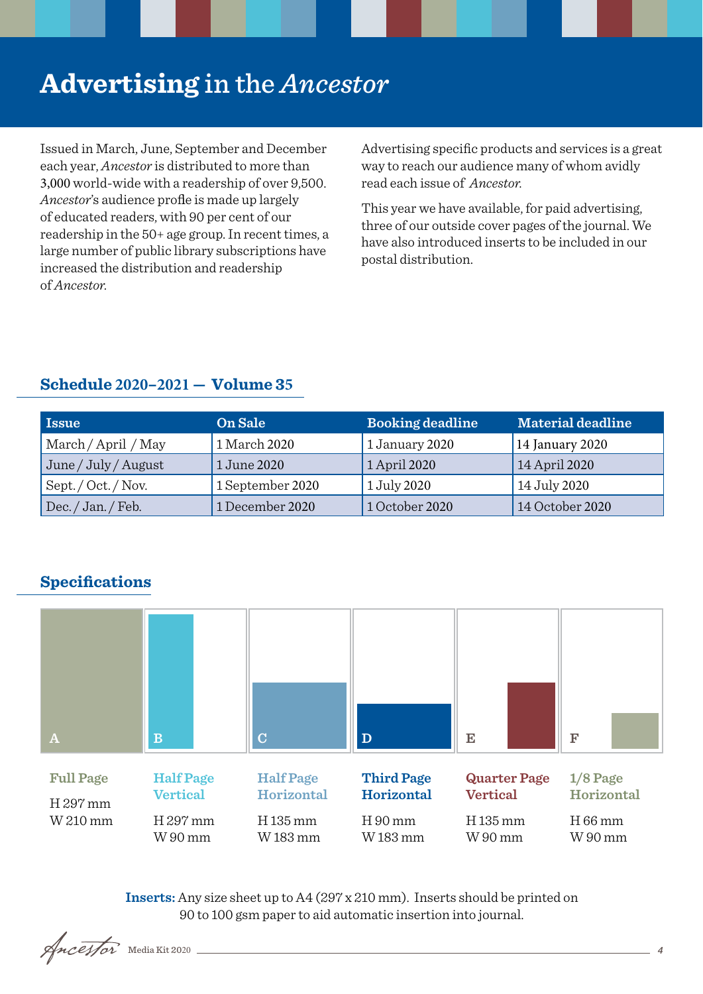## **Advertising** in the *Ancestor*

Issued in March, June, September and December each year, *Ancestor* is distributed to more than 3,000 world-wide with a readership of over 9,500. Ancestor's audience profile is made up largely of educated readers, with 90 per cent of our readership in the 50+ age group. In recent times, a large number of public library subscriptions have increased the distribution and readership of *Ancestor.*

Advertising specific products and services is a great way to reach our audience many of whom avidly read each issue of *Ancestor.* 

This year we have available, for paid advertising, three of our outside cover pages of the journal. We have also introduced inserts to be included in our postal distribution.

## **Issue Confidence On Sale Booking deadline Material deadline** March / April / May 1 March 2020 1 January 2020 June / July / August 1 June 2020 1 April 2020 14 April 2020 Sept. / Oct. / Nov. 1 September 2020 1 July 2020 14 July 2020 Dec. / Jan. / Feb. 1 December 2020 1 October 2020 14 October 2020 14 January 2020

## **Schedule 2020–2021 — Volume 35**





**Inserts:** Any size sheet up to A4 (297 x 210 mm). Inserts should be printed on 90 to 100 gsm paper to aid automatic insertion into journal.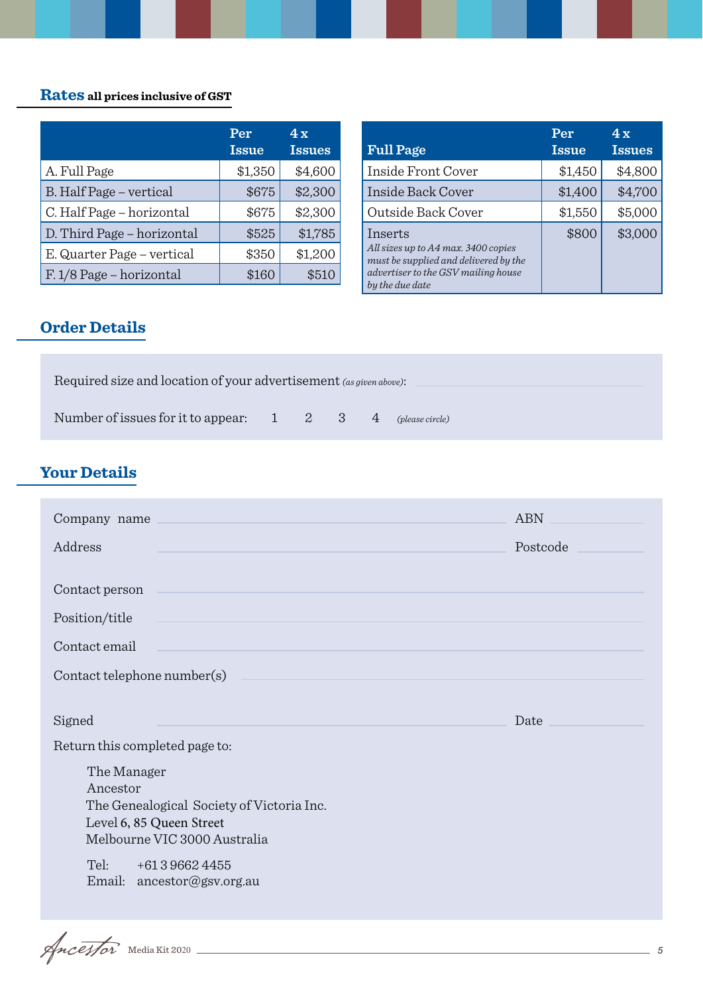## **Rates all prices inclusive of GST**

|                            | Per<br><b>Issue</b> | 4x<br><b>Issues</b> |
|----------------------------|---------------------|---------------------|
| A. Full Page               | \$1,350             | \$4,600             |
| B. Half Page - vertical    | \$675               | \$2,300             |
| C. Half Page - horizontal  | \$675               | \$2,300             |
| D. Third Page - horizontal | \$525               | \$1,785             |
| E. Quarter Page – vertical | \$350               | \$1,200             |
| F. 1/8 Page – horizontal   | \$160               | \$510               |

|                                                                                                                                                   | Per          | 4x            |
|---------------------------------------------------------------------------------------------------------------------------------------------------|--------------|---------------|
| <b>Full Page</b>                                                                                                                                  | <b>Issue</b> | <b>Issues</b> |
| Inside Front Cover                                                                                                                                | \$1,450      | \$4,800       |
| Inside Back Cover                                                                                                                                 | \$1,400      | \$4,700       |
| Outside Back Cover                                                                                                                                | \$1,550      | \$5,000       |
| Inserts<br>All sizes up to A4 max. 3400 copies<br>must be supplied and delivered by the<br>advertiser to the GSV mailing house<br>by the due date | \$800        | \$3,000       |

## **Order Details**

| Required size and location of your advertisement (as given above): |  |  |  |  |                                                             |  |  |
|--------------------------------------------------------------------|--|--|--|--|-------------------------------------------------------------|--|--|
| Number of issues for it to appear: 1                               |  |  |  |  | $\begin{array}{cccc} 2 & 3 & 4 \end{array}$ (please circle) |  |  |

## **Your Details**

| Company name                                                                                                      | <b>ABN</b> |
|-------------------------------------------------------------------------------------------------------------------|------------|
| Address                                                                                                           | Postcode   |
| Contact person                                                                                                    |            |
| Position/title                                                                                                    |            |
| Contact email                                                                                                     |            |
| Contact telephone number(s)                                                                                       |            |
| Signed<br>Return this completed page to:<br>The Manager                                                           | Date       |
| Ancestor<br>The Genealogical Society of Victoria Inc.<br>Level 6, 85 Queen Street<br>Melbourne VIC 3000 Australia |            |
| Tel:<br>+61396624455<br>Email: ancestor@gsv.org.au                                                                |            |